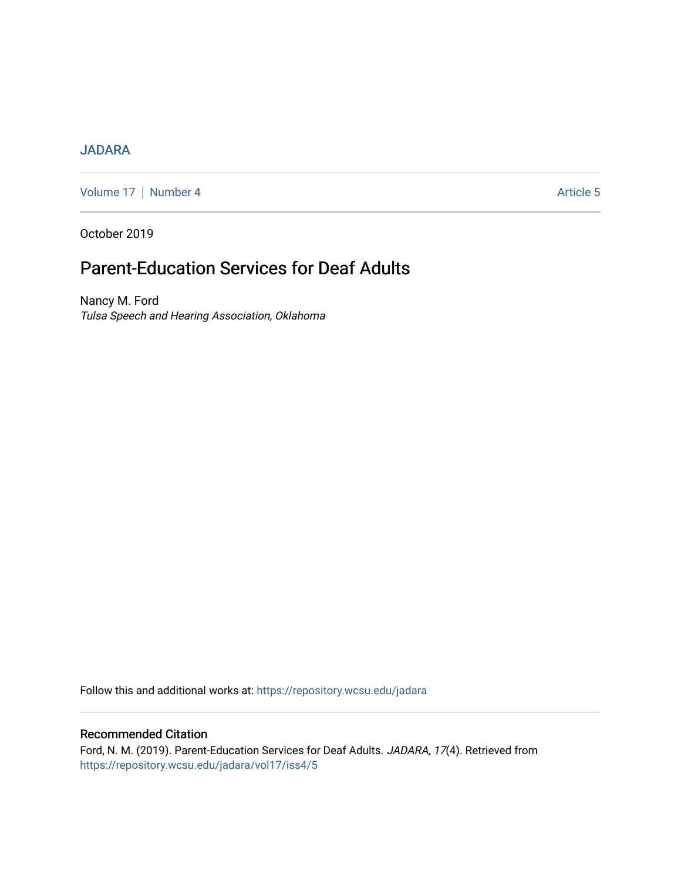# [JADARA](https://repository.wcsu.edu/jadara)

[Volume 17](https://repository.wcsu.edu/jadara/vol17) | [Number 4](https://repository.wcsu.edu/jadara/vol17/iss4) Article 5

October 2019

# Parent-Education Services for Deaf Adults

Nancy M. Ford Tulsa Speech and Hearing Association, Oklahoma

Follow this and additional works at: [https://repository.wcsu.edu/jadara](https://repository.wcsu.edu/jadara?utm_source=repository.wcsu.edu%2Fjadara%2Fvol17%2Fiss4%2F5&utm_medium=PDF&utm_campaign=PDFCoverPages)

# Recommended Citation

Ford, N. M. (2019). Parent-Education Services for Deaf Adults. JADARA, 17(4). Retrieved from [https://repository.wcsu.edu/jadara/vol17/iss4/5](https://repository.wcsu.edu/jadara/vol17/iss4/5?utm_source=repository.wcsu.edu%2Fjadara%2Fvol17%2Fiss4%2F5&utm_medium=PDF&utm_campaign=PDFCoverPages)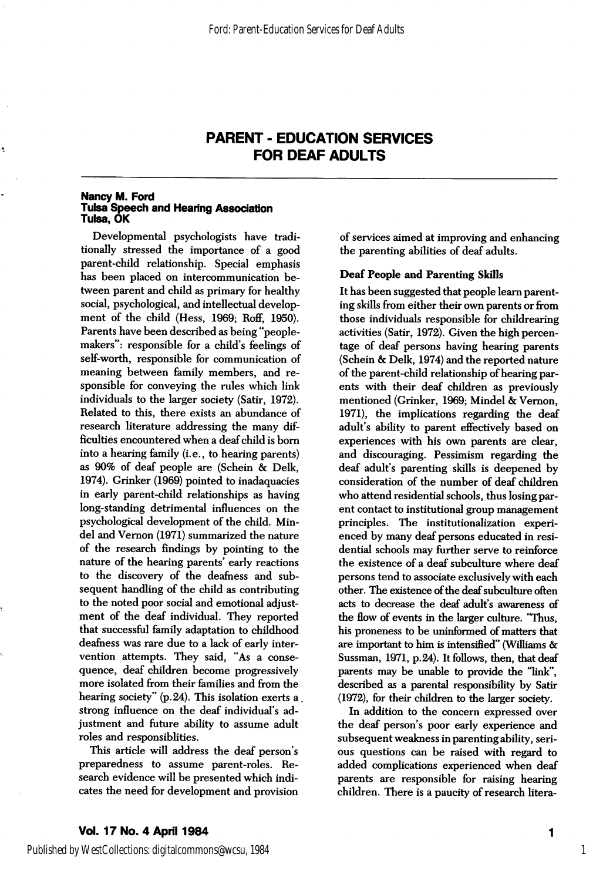## PARENT - EDUCATION SERVICES FOR DEAF ADULTS

#### Nancy M. Ford Tulsa Speech and Hearing Association Tulsa, OK

Developmental psychologists have tradi tionally stressed the importance of a good parent-child relationship. Special emphasis has been placed on intercommunication be tween parent and child as primary for healthy social, psychological, and intellectual develop ment of the child (Hess, 1969; Roff, 1950). Parents have been described as being "peoplemakers": responsible for a child's feelings of self-worth, responsible for communication of meaning between family members, and re sponsible for conveying the rules which link individuals to the larger society (Satir, 1972). Related to this, there exists an abundance of research literature addressing the many dif ficulties encountered when a deaf child is bom into a hearing family (i.e., to hearing parents) as 90% of deaf people are (Schein & Delk, 1974). Grinker (1969) pointed to inadaquacies in early parent-child relationships as having long-standing detrimental influences on the psychological development of the child. Mindel and Vemon (1971) summarized the nature of the research findings by pointing to the nature of the hearing parents' early reactions to the discovery of the deafness and sub sequent handling of the child as contributing to the noted poor social and emotional adjust ment of the deaf individual. They reported that successful family adaptation to childhood deafness was rare due to a lack of early inter vention attempts. They said, "As a conse quence, deaf children become progressively more isolated from their families and from the hearing society" (p. 24). This isolation exerts a strong influence on the deaf individual's ad justment and future ability to assume adult roles and responsiblities.

This article will address the deaf person's preparedness to assume parent-roles. Re search evidence will be presented which indi cates the need for development and provision of services aimed at improving and enhancing the parenting abilities of deaf adults.

## Deaf People and Parenting Skills

It has been suggested that people leara parent ing skills from either their own parents or from those individuals responsible for childrearing activities (Satir, 1972). Given the high percen tage of deaf persons having hearing parents (Schein & Delk, 1974) and the reported nature of the parent-child relationship of hearing par ents with their deaf children as previously mentioned (Grinker, 1969; Mindel & Vemon, 1971), the implications regarding the deaf adult's abihty to parent effectively based on experiences with his own parents are clear, and discouraging. Pessimism regarding the deaf adult's parenting skills is deepened by consideration of the number of deaf children who attend residential schools, thus losing par ent contact to institutional group management principles. The institutionalization experi enced by many deaf persons educated in resi dential schools may further serve to reinforce the existence of a deaf subculture where deaf persons tend to associate exclusively with each other. The existence of the deaf subculture often acts to decrease the deaf adult's awareness of the flow of events in the larger culture. "Thus, his proneness to be uninformed of matters that are important to him is intensified" (Williams & Sussman, 1971, p. 24). It follows, then, that deaf parents may be unable to provide the "link", described as a parental responsibility by Satir (1972), for their children to the larger society.

In addition to the concern expressed over the deaf person's poor early experience and subsequent weakness in parenting ability, seri ous questions can be raised with regard to added complications experienced when deaf parents are responsible for raising hearing children. There is a paucity of research litera-

Published by WestCollections: digitalcommons@wcsu, 1984

 $\blacksquare$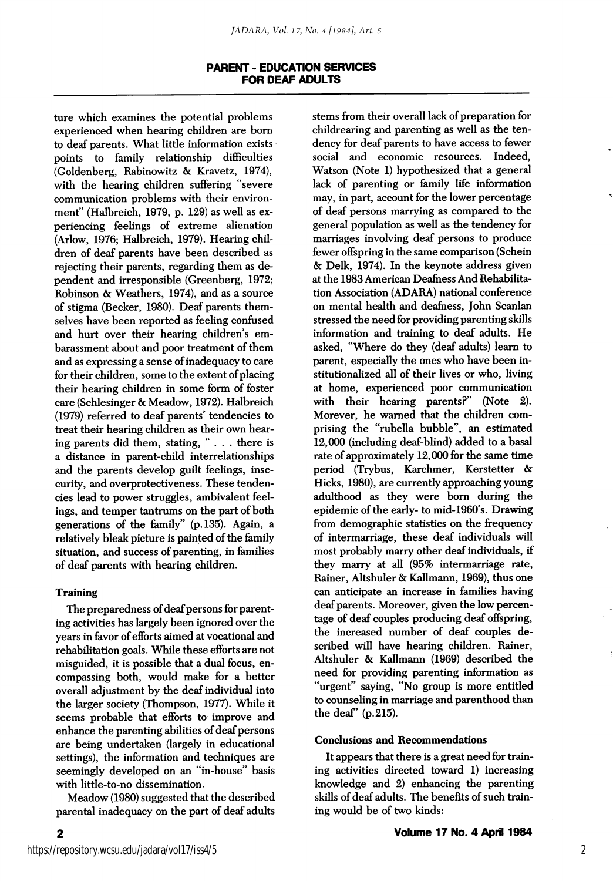## PARENT - EDUCATION SERVICES FOR DEAF ADULTS

ture which examines the potential problems experienced when hearing children are bom to deaf parents. What little information exists points to family relationship difficulties (Goldenberg, Rabinowitz & Kravetz, 1974), with the hearing children suffering "severe communication problems with their environ ment" (Halbreich, 1979, p. 129) as well as ex periencing feelings of extreme alienation (Arlow, 1976; Halbreich, 1979). Hearing chil dren of deaf parents have been described as rejecting their parents, regarding them as de pendent and irresponsible (Greenberg, 1972; Robinson & Weathers, 1974), and as a source of stigma (Becker, 1980). Deaf parents them selves have been reported as feeling confused and hurt over their hearing children's embarassment about and poor treatment of them and as expressing a sense of inadequacy to care for their children, some to the extent of placing their hearing children in some form of foster care (Schlesinger & Meadow, 1972). Halbreich (1979) referred to deaf parents' tendencies to treat their hearing children as their own hear ing parents did them, stating, "... there is a distance in parent-child interrelationships and the parents develop guilt feelings, inse curity, and overprotectiveness. These tenden cies lead to power struggles, ambivalent feel ings, and temper tantrums on the part of both generations of the family" (p. 135). Again, a relatively bleak picture is painted of the family situation, and success of parenting, in families of deaf parents with hearing children.

## Training

The preparedness of deaf persons for parent ing activities has largely been ignored over the years in favor of efforts aimed at vocational and rehabilitation goals. While these efforts are not misguided, it is possible that a dual focus, en compassing both, would make for a better overall adjustment by the deaf individual into the larger society (Thompson, 1977). While it seems probable that efforts to improve and enhance the parenting abilities of deaf persons are being undertaken (largely in educational settings), the information and techniques are seemingly developed on an "in-house" basis with little-to-no dissemination.

Meadow (1980) suggested that the described parental inadequacy on the part of deaf adults stems from their overall lack of preparation for childrearing and parenting as well as the ten dency for deaf parents to have access to fewer social and economic resources. Indeed, Watson (Note 1) hypothesized that a general lack of parenting or family life information may, in part, account for the lower percentage of deaf persons marrying as compared to the general population as well as the tendency for marriages involving deaf persons to produce fewer offspring in the same comparison (Schein & Delk, 1974). In the keynote address given at the 1983 American Deafness And Rehabilita tion Association (ADARA) national conference on mental health and deafness, John Scanlan stressed the need for providing parenting skills information and training to deaf adults. He asked, "Where do they (deaf adults) leam to parent, especially the ones who have been in stitutionalized all of their lives or who, living at home, experienced poor communication with their hearing parents?" (Note 2). Morever, he warned that the children com prising the "rubella bubble", an estimated 12,000 (including deaf-blind) added to a basal rate of approximately 12,000 for the same time period (Trybus, Karchmer, Kerstetter & Hicks, 1980), are currently approaching young adulthood as they were bom during the epidemic of the early- to mid-1960's. Drawing from demographic statistics on the frequency of intermarriage, these deaf individuals will most probably marry other deaf individuals, if they marry at all (95% intermarriage rate, Rainer, Altshuler & Kallmann, 1969), thus one can anticipate an increase in families having deaf parents. Moreover, given the low percen tage of deaf couples producing deaf offspring, the increased number of deaf couples de scribed will have hearing children. Rainer, Altshuler & Kallmann (1969) described the need for providing parenting information as "urgent" saying, "No group is more entitled to counseling in marriage and parenthood than the deaf' (p. 215).

#### Conclusions and Recommendations

It appears that there is a great need for train ing activities directed toward 1) increasing knowledge and 2) enhancing the parenting skills of deaf adults. The benefits of such train ing would be of two kinds:

 $\overline{2}$